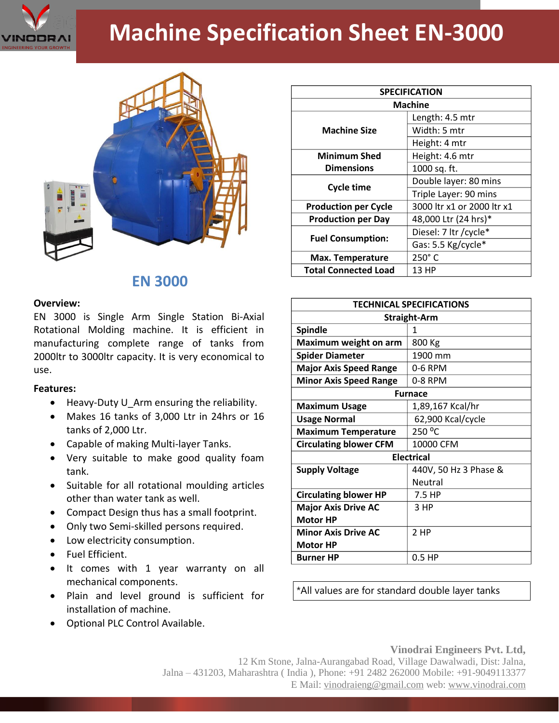

# **Machine Specification Sheet EN-3000**



# **EN 3000**

#### **Overview:**

EN 3000 is Single Arm Single Station Bi-Axial Rotational Molding machine. It is efficient in manufacturing complete range of tanks from 2000ltr to 3000ltr capacity. It is very economical to use.

## **Features:**

- Heavy-Duty U Arm ensuring the reliability.
- Makes 16 tanks of 3,000 Ltr in 24hrs or 16 tanks of 2,000 Ltr.
- Capable of making Multi-layer Tanks.
- Very suitable to make good quality foam tank.
- Suitable for all rotational moulding articles other than water tank as well.
- Compact Design thus has a small footprint.
- Only two Semi-skilled persons required.
- Low electricity consumption.
- Fuel Efficient.
- It comes with 1 year warranty on all mechanical components.
- Plain and level ground is sufficient for installation of machine.
- Optional PLC Control Available.

| <b>SPECIFICATION</b>        |                            |
|-----------------------------|----------------------------|
| <b>Machine</b>              |                            |
| <b>Machine Size</b>         | Length: 4.5 mtr            |
|                             | Width: 5 mtr               |
|                             | Height: 4 mtr              |
| <b>Minimum Shed</b>         | Height: 4.6 mtr            |
| <b>Dimensions</b>           | 1000 sq. ft.               |
| <b>Cycle time</b>           | Double layer: 80 mins      |
|                             | Triple Layer: 90 mins      |
| <b>Production per Cycle</b> | 3000 ltr x1 or 2000 ltr x1 |
| <b>Production per Day</b>   | 48,000 Ltr (24 hrs)*       |
| <b>Fuel Consumption:</b>    | Diesel: 7 ltr / cycle*     |
|                             | Gas: 5.5 Kg/cycle*         |
| <b>Max. Temperature</b>     | $250^\circ$ C              |
| <b>Total Connected Load</b> | 13 HP                      |

| <b>TECHNICAL SPECIFICATIONS</b> |                       |
|---------------------------------|-----------------------|
| <b>Straight-Arm</b>             |                       |
| <b>Spindle</b>                  | 1                     |
| Maximum weight on arm           | 800 Kg                |
| <b>Spider Diameter</b>          | 1900 mm               |
| <b>Major Axis Speed Range</b>   | 0-6 RPM               |
| <b>Minor Axis Speed Range</b>   | 0-8 RPM               |
| <b>Furnace</b>                  |                       |
| <b>Maximum Usage</b>            | 1,89,167 Kcal/hr      |
| <b>Usage Normal</b>             | 62,900 Kcal/cycle     |
| <b>Maximum Temperature</b>      | 250 °C                |
| <b>Circulating blower CFM</b>   | 10000 CFM             |
| <b>Electrical</b>               |                       |
| <b>Supply Voltage</b>           | 440V, 50 Hz 3 Phase & |
|                                 | Neutral               |
| <b>Circulating blower HP</b>    | 7.5 HP                |
| <b>Major Axis Drive AC</b>      | 3 HP                  |
| <b>Motor HP</b>                 |                       |
| <b>Minor Axis Drive AC</b>      | 2 HP                  |
| <b>Motor HP</b>                 |                       |
| <b>Burner HP</b>                | $0.5$ HP              |

\*All values are for standard double layer tanks

## **Vinodrai Engineers Pvt. Ltd,**

12 Km Stone, Jalna-Aurangabad Road, Village Dawalwadi, Dist: Jalna, Jalna – 431203, Maharashtra ( India ), Phone: +91 2482 262000 Mobile: +91-9049113377 E Mail: vinodraieng@gmail.com web: www.vinodrai.com